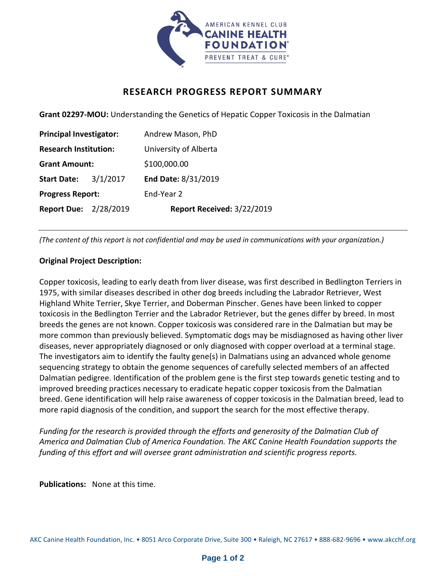

## **RESEARCH PROGRESS REPORT SUMMARY**

**Grant 02297-MOU:** Understanding the Genetics of Hepatic Copper Toxicosis in the Dalmatian

| <b>Principal Investigator:</b> |          | Andrew Mason, PhD          |
|--------------------------------|----------|----------------------------|
| <b>Research Institution:</b>   |          | University of Alberta      |
| <b>Grant Amount:</b>           |          | \$100,000.00               |
| <b>Start Date:</b>             | 3/1/2017 | End Date: 8/31/2019        |
| <b>Progress Report:</b>        |          | End-Year 2                 |
| <b>Report Due: 2/28/2019</b>   |          | Report Received: 3/22/2019 |

*(The content of this report is not confidential and may be used in communications with your organization.)*

## **Original Project Description:**

Copper toxicosis, leading to early death from liver disease, was first described in Bedlington Terriers in 1975, with similar diseases described in other dog breeds including the Labrador Retriever, West Highland White Terrier, Skye Terrier, and Doberman Pinscher. Genes have been linked to copper toxicosis in the Bedlington Terrier and the Labrador Retriever, but the genes differ by breed. In most breeds the genes are not known. Copper toxicosis was considered rare in the Dalmatian but may be more common than previously believed. Symptomatic dogs may be misdiagnosed as having other liver diseases, never appropriately diagnosed or only diagnosed with copper overload at a terminal stage. The investigators aim to identify the faulty gene(s) in Dalmatians using an advanced whole genome sequencing strategy to obtain the genome sequences of carefully selected members of an affected Dalmatian pedigree. Identification of the problem gene is the first step towards genetic testing and to improved breeding practices necessary to eradicate hepatic copper toxicosis from the Dalmatian breed. Gene identification will help raise awareness of copper toxicosis in the Dalmatian breed, lead to more rapid diagnosis of the condition, and support the search for the most effective therapy.

*Funding for the research is provided through the efforts and generosity of the Dalmatian Club of America and Dalmatian Club of America Foundation. The AKC Canine Health Foundation supports the funding of this effort and will oversee grant administration and scientific progress reports.*

**Publications:** None at this time.